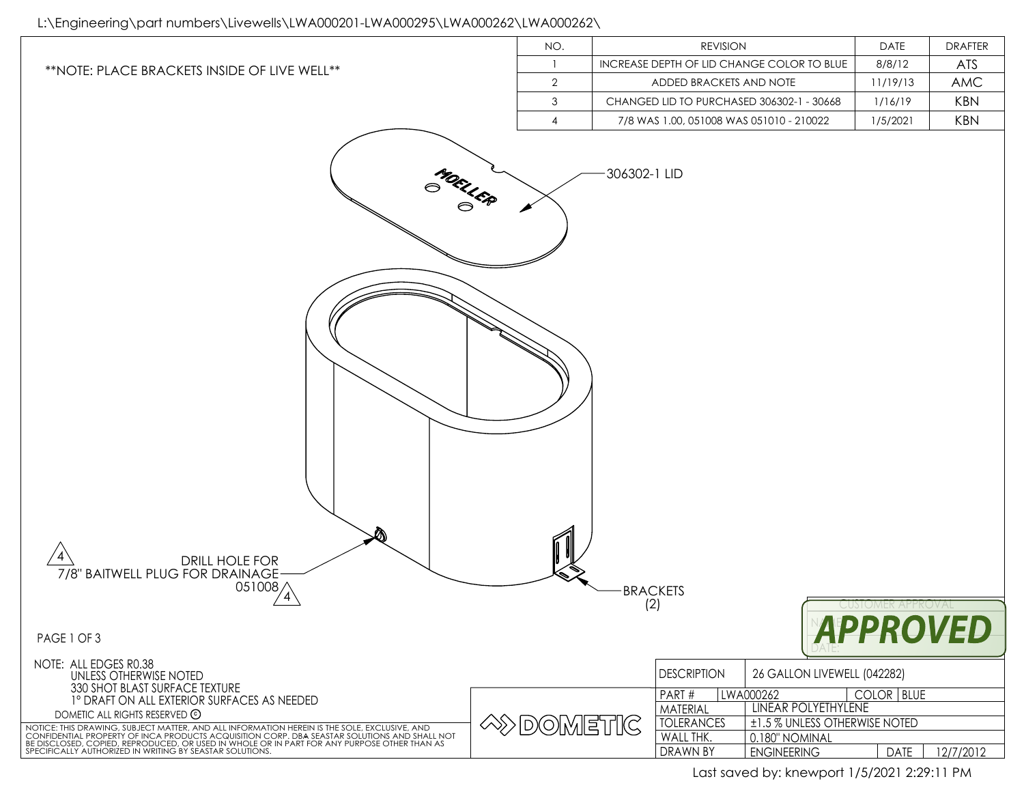## L:\Engineering\part numbers\Livewells\LWA000201-LWA000295\LWA000262\LWA000262\

|                                                                                                                                                                                                                                      | NO.              | <b>REVISION</b>                                               | <b>DATE</b>                   | <b>DRAFTER</b> |
|--------------------------------------------------------------------------------------------------------------------------------------------------------------------------------------------------------------------------------------|------------------|---------------------------------------------------------------|-------------------------------|----------------|
| ** NOTE: PLACE BRACKETS INSIDE OF LIVE WELL**                                                                                                                                                                                        | $\overline{1}$   | INCREASE DEPTH OF LID CHANGE COLOR TO BLUE                    | 8/8/12                        | ATS            |
|                                                                                                                                                                                                                                      | $\overline{2}$   | ADDED BRACKETS AND NOTE                                       | 11/19/13                      | AMC            |
|                                                                                                                                                                                                                                      | $\mathfrak{Z}$   | CHANGED LID TO PURCHASED 306302-1 - 30668                     | 1/16/19                       | <b>KBN</b>     |
|                                                                                                                                                                                                                                      | $\overline{4}$   | 7/8 WAS 1.00, 051008 WAS 051010 - 210022                      | 1/5/2021                      | <b>KBN</b>     |
| MOELLER<br>DRILL HOLE FOR<br>7/8" BAITWELL PLUG FOR DRAINAGE<br>051008/                                                                                                                                                              |                  | 306302-1 LID<br><b>BRACKETS</b><br>(2)                        | <b>CUSIOMER APPROVA</b>       |                |
| PAGE 1 OF 3                                                                                                                                                                                                                          |                  |                                                               | <b>APPROVED</b>               |                |
|                                                                                                                                                                                                                                      |                  |                                                               |                               |                |
| NOTE: ALL EDGES R0.38<br>UNLESS OTHERWISE NOTED                                                                                                                                                                                      |                  | <b>DESCRIPTION</b>                                            | 26 GALLON LIVEWELL (042282)   |                |
| 330 SHOT BLAST SURFACE TEXTURE<br>1° DRAFT ON ALL EXTERIOR SURFACES AS NEEDED                                                                                                                                                        |                  | PART#<br>LWA000262                                            | COLOR   BLUE                  |                |
| DOMETIC ALL RIGHTS RESERVED ©                                                                                                                                                                                                        |                  | LINEAR POLYETHYLENE<br>MATERIAL                               |                               |                |
| NOTICE: THIS DRAWING, SUBJECT MATTER, AND ALL INFORMATION HEREIN IS THE SOLE, EXCLUSIVE, AND<br>CONFIDENTIAL PROPERTY OF INCA PRODUCTS ACQUISITION CORP. DBA SEASTAR SOLUTIONS AND SHALL NOT<br>BE DISCLOSED, COPIED, REPRODUCED, OR | <b>EXPOMETIC</b> | <b>TOLERANCES</b>                                             | ±1.5 % UNLESS OTHERWISE NOTED |                |
| SPECIFICALLY AUTHORIZED IN WRITING BY SEASTAR SOLUTIONS.                                                                                                                                                                             |                  | WALL THK.<br>0.180" NOMINAL<br>DRAWN BY<br><b>ENGINEERING</b> | <b>DATE</b>                   | 12/7/2012      |
|                                                                                                                                                                                                                                      |                  |                                                               |                               |                |

Last saved by: knewport 1/5/2021 2:29:11 PM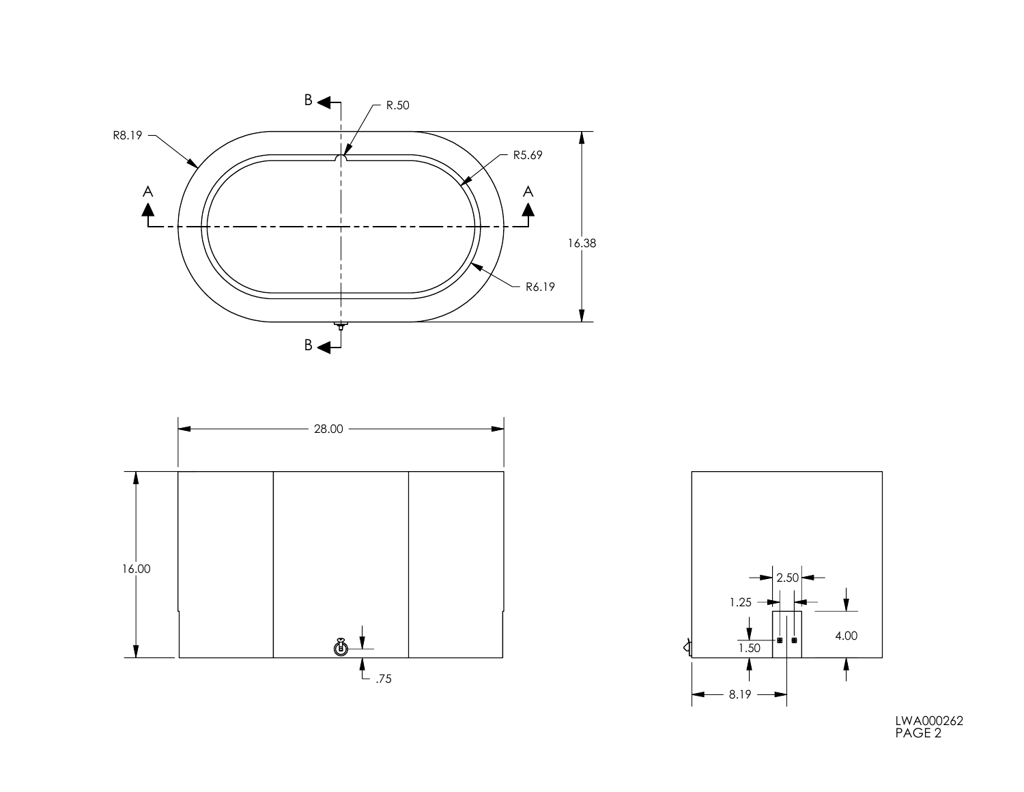





LWA000262 PAGE 2